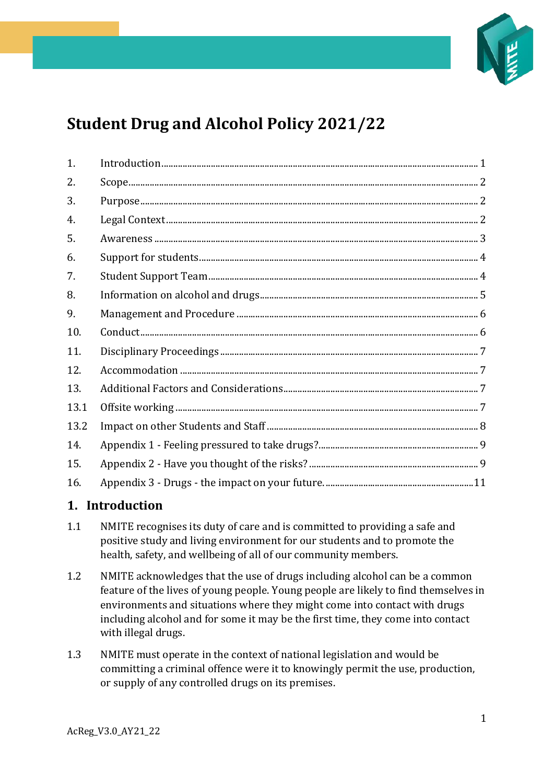

# **Student Drug and Alcohol Policy 2021/22**

| 1.   |  |
|------|--|
| 2.   |  |
| 3.   |  |
| 4.   |  |
| 5.   |  |
| 6.   |  |
| 7.   |  |
| 8.   |  |
| 9.   |  |
| 10.  |  |
| 11.  |  |
| 12.  |  |
| 13.  |  |
| 13.1 |  |
| 13.2 |  |
| 14.  |  |
| 15.  |  |
| 16.  |  |

# <span id="page-0-0"></span>**1. Introduction**

- 1.1 NMITE recognises its duty of care and is committed to providing a safe and positive study and living environment for our students and to promote the health, safety, and wellbeing of all of our community members.
- 1.2 NMITE acknowledges that the use of drugs including alcohol can be a common feature of the lives of young people. Young people are likely to find themselves in environments and situations where they might come into contact with drugs including alcohol and for some it may be the first time, they come into contact with illegal drugs.
- 1.3 NMITE must operate in the context of national legislation and would be committing a criminal offence were it to knowingly permit the use, production, or supply of any controlled drugs on its premises.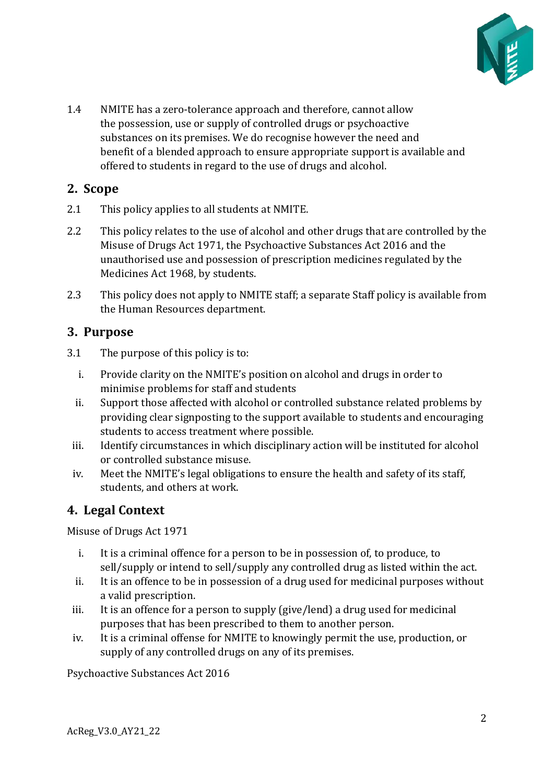

1.4 NMITE has a zero-tolerance approach and therefore, cannot allow the possession, use or supply of controlled drugs or psychoactive substances on its premises. We do recognise however the need and benefit of a blended approach to ensure appropriate support is available and offered to students in regard to the use of drugs and alcohol.

# <span id="page-1-0"></span>**2. Scope**

- 2.1 This policy applies to all students at NMITE.
- 2.2 This policy relates to the use of alcohol and other drugs that are controlled by the Misuse of Drugs Act 1971, the Psychoactive Substances Act 2016 and the unauthorised use and possession of prescription medicines regulated by the Medicines Act 1968, by students.
- 2.3 This policy does not apply to NMITE staff; a separate Staff policy is available from the Human Resources department.

### <span id="page-1-1"></span>**3. Purpose**

- 3.1 The purpose of this policy is to:
	- i. Provide clarity on the NMITE's position on alcohol and drugs in order to minimise problems for staff and students
	- ii. Support those affected with alcohol or controlled substance related problems by providing clear signposting to the support available to students and encouraging students to access treatment where possible.
	- iii. Identify circumstances in which disciplinary action will be instituted for alcohol or controlled substance misuse.
- iv. Meet the NMITE's legal obligations to ensure the health and safety of its staff, students, and others at work.

# <span id="page-1-2"></span>**4. Legal Context**

Misuse of Drugs Act 1971

- i. It is a criminal offence for a person to be in possession of, to produce, to sell/supply or intend to sell/supply any controlled drug as listed within the act.
- ii. It is an offence to be in possession of a drug used for medicinal purposes without a valid prescription.
- iii. It is an offence for a person to supply (give/lend) a drug used for medicinal purposes that has been prescribed to them to another person.
- iv. It is a criminal offense for NMITE to knowingly permit the use, production, or supply of any controlled drugs on any of its premises.

Psychoactive Substances Act 2016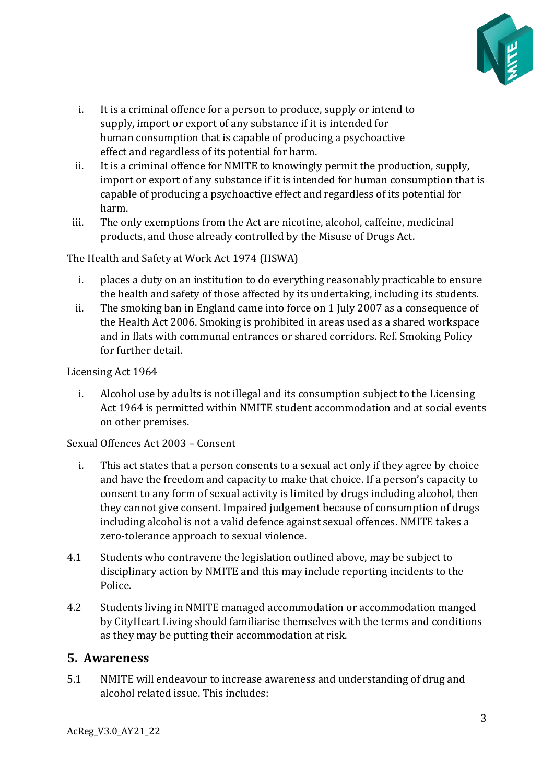

- i. It is a criminal offence for a person to produce, supply or intend to supply, import or export of any substance if it is intended for human consumption that is capable of producing a psychoactive effect and regardless of its potential for harm.
- ii. It is a criminal offence for NMITE to knowingly permit the production, supply, import or export of any substance if it is intended for human consumption that is capable of producing a psychoactive effect and regardless of its potential for harm.
- iii. The only exemptions from the Act are nicotine, alcohol, caffeine, medicinal products, and those already controlled by the Misuse of Drugs Act.

The Health and Safety at Work Act 1974 (HSWA)

- i. places a duty on an institution to do everything reasonably practicable to ensure the health and safety of those affected by its undertaking, including its students.
- ii. The smoking ban in England came into force on 1 July 2007 as a consequence of the Health Act 2006. Smoking is prohibited in areas used as a shared workspace and in flats with communal entrances or shared corridors. Ref. Smoking Policy for further detail.

Licensing Act 1964

i. Alcohol use by adults is not illegal and its consumption subject to the Licensing Act 1964 is permitted within NMITE student accommodation and at social events on other premises.

Sexual Offences Act 2003 – Consent

- i. This act states that a person consents to a sexual act only if they agree by choice and have the freedom and capacity to make that choice. If a person's capacity to consent to any form of sexual activity is limited by drugs including alcohol, then they cannot give consent. Impaired judgement because of consumption of drugs including alcohol is not a valid defence against sexual offences. NMITE takes a zero-tolerance approach to sexual violence.
- 4.1 Students who contravene the legislation outlined above, may be subject to disciplinary action by NMITE and this may include reporting incidents to the Police.
- 4.2 Students living in NMITE managed accommodation or accommodation manged by CityHeart Living should familiarise themselves with the terms and conditions as they may be putting their accommodation at risk.

# <span id="page-2-0"></span>**5. Awareness**

5.1 NMITE will endeavour to increase awareness and understanding of drug and alcohol related issue. This includes: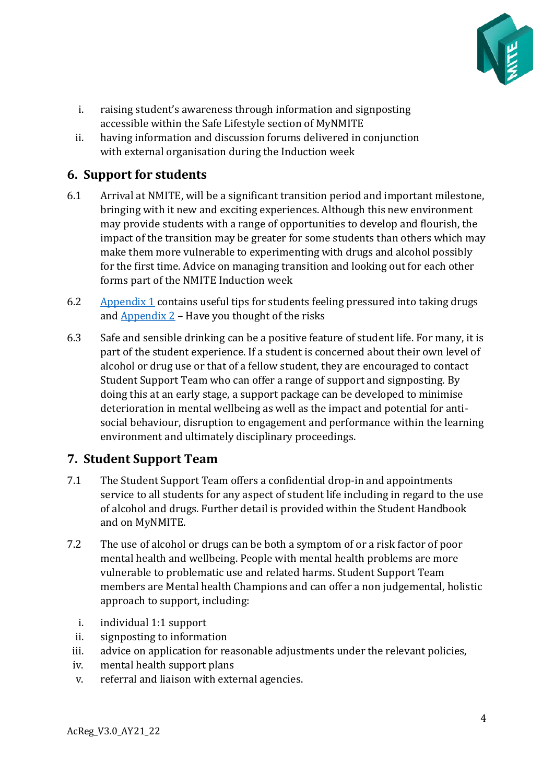

- i. raising student's awareness through information and signposting accessible within the Safe Lifestyle section of MyNMITE
- ii. having information and discussion forums delivered in conjunction with external organisation during the Induction week

# <span id="page-3-0"></span>**6. Support for students**

- 6.1 Arrival at NMITE, will be a significant transition period and important milestone, bringing with it new and exciting experiences. Although this new environment may provide students with a range of opportunities to develop and flourish, the impact of the transition may be greater for some students than others which may make them more vulnerable to experimenting with drugs and alcohol possibly for the first time. Advice on managing transition and looking out for each other forms part of the NMITE Induction week
- 6.2 [Appendix 1](#page-8-0) contains useful tips for students feeling pressured into taking drugs and  $\Delta$ ppendix  $2$  – Have you thought of the risks
- 6.3 Safe and sensible drinking can be a positive feature of student life. For many, it is part of the student experience. If a student is concerned about their own level of alcohol or drug use or that of a fellow student, they are encouraged to contact Student Support Team who can offer a range of support and signposting. By doing this at an early stage, a support package can be developed to minimise deterioration in mental wellbeing as well as the impact and potential for antisocial behaviour, disruption to engagement and performance within the learning environment and ultimately disciplinary proceedings.

# <span id="page-3-1"></span>**7. Student Support Team**

- 7.1 The Student Support Team offers a confidential drop-in and appointments service to all students for any aspect of student life including in regard to the use of alcohol and drugs. Further detail is provided within the Student Handbook and on MyNMITE.
- 7.2 The use of alcohol or drugs can be both a symptom of or a risk factor of poor mental health and wellbeing. People with mental health problems are more vulnerable to problematic use and related harms. Student Support Team members are Mental health Champions and can offer a non judgemental, holistic approach to support, including:
	- i. individual 1:1 support
	- ii. signposting to information
	- iii. advice on application for reasonable adjustments under the relevant policies,
	- iv. mental health support plans
	- v. referral and liaison with external agencies.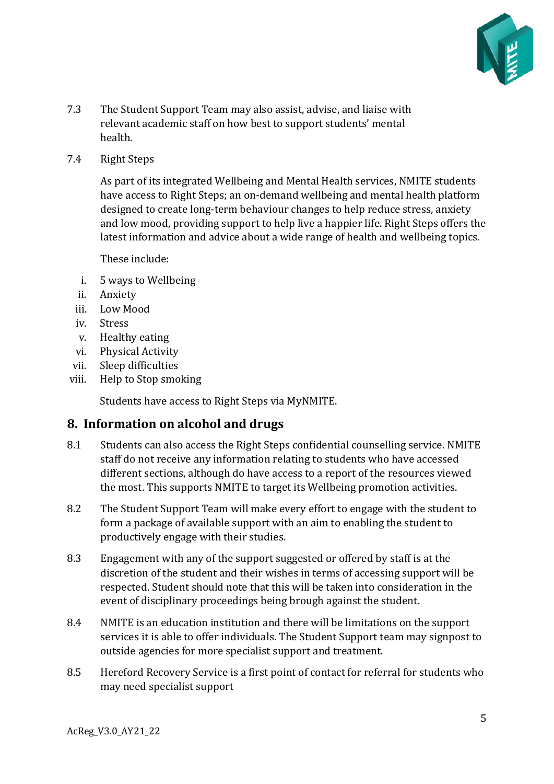

- 7.3 The Student Support Team may also assist, advise, and liaise with relevant academic staff on how best to support students' mental health.
- 7.4 Right Steps

As part of its integrated Wellbeing and Mental Health services, NMITE students have access to Right Steps; an on-demand wellbeing and mental health platform designed to create long-term behaviour changes to help reduce stress, anxiety and low mood, providing support to help live a happier life. Right Steps offers the latest information and advice about a wide range of health and wellbeing topics.

These include:

- i. 5 ways to Wellbeing
- ii. Anxiety
- iii. Low Mood
- iv. Stress
- v. Healthy eating
- vi. Physical Activity
- vii. Sleep difficulties
- viii. Help to Stop smoking

Students have access to Right Steps via MyNMITE.

### <span id="page-4-0"></span>**8. Information on alcohol and drugs**

- 8.1 Students can also access the Right Steps confidential counselling service. NMITE staff do not receive any information relating to students who have accessed different sections, although do have access to a report of the resources viewed the most. This supports NMITE to target its Wellbeing promotion activities.
- 8.2 The Student Support Team will make every effort to engage with the student to form a package of available support with an aim to enabling the student to productively engage with their studies.
- 8.3 Engagement with any of the support suggested or offered by staff is at the discretion of the student and their wishes in terms of accessing support will be respected. Student should note that this will be taken into consideration in the event of disciplinary proceedings being brough against the student.
- 8.4 NMITE is an education institution and there will be limitations on the support services it is able to offer individuals. The Student Support team may signpost to outside agencies for more specialist support and treatment.
- 8.5 Hereford Recovery Service is a first point of contact for referral for students who may need specialist support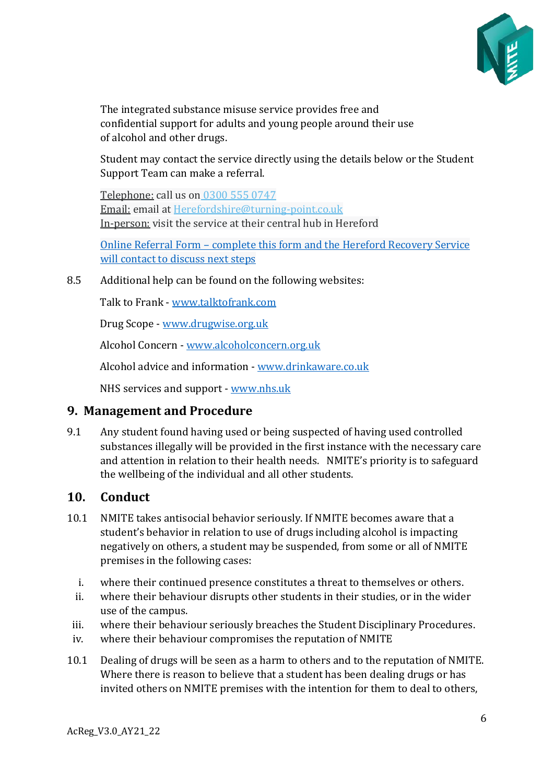

The integrated substance misuse service provides free and confidential support for adults and young people around their use of alcohol and other drugs.

Student may contact the service directly using the details below or the Student Support Team can make a referral.

Telephone: call us on [0300 555 0747](tel:%200300%20555%200747) Email: email at [Herefordshire@turning-point.co.uk](mailto:Herefordshire@turning-point.co.uk) In-person: visit the service at their central hub in Hereford

Online Referral Form – [complete this form and the Hereford Recovery Service](https://tp-opa.custhelp.com/web-determinations/startsession/Self%20Contact%20and%20Screening%20Form%202021?seedData=%7bsource:%27Website%27%7d)  [will contact to discuss next steps](https://tp-opa.custhelp.com/web-determinations/startsession/Self%20Contact%20and%20Screening%20Form%202021?seedData=%7bsource:%27Website%27%7d)

8.5 Additional help can be found on the following websites:

Talk to Frank - [www.talktofrank.com](https://nmite.sharepoint.com/Academic%20Registry/Policy%20Framework/Policy%20Framework_21-22_under%20review/Policies%20%20(working%20file)%20AY21_22/www.talktofrank.com)

Drug Scope - [www.drugwise.org.uk](https://nmite.sharepoint.com/Academic%20Registry/Policy%20Framework/Policy%20Framework_21-22_under%20review/Policies%20AY20_21/www.drugwise.org.uk)

Alcohol Concern - [www.alcoholconcern.org.uk](https://nmite.sharepoint.com/Academic%20Registry/Policy%20Framework/Policy%20Framework_21-22_under%20review/Policies%20%20(working%20file)%20AY21_22/www.alcoholconcern.org.uk)

Alcohol advice and information - [www.drinkaware.co.uk](https://nmite.sharepoint.com/Academic%20Registry/Policy%20Framework/Policy%20Framework_21-22_under%20review/Policies%20%20(working%20file)%20AY21_22/www.drinkaware.co.uk)

NHS services and support - [www.nhs.uk](https://nmite.sharepoint.com/Academic%20Registry/Policy%20Framework/Policy%20Framework_21-22_under%20review/Policies%20%20(working%20file)%20AY21_22/www.nhs.uk)

### <span id="page-5-0"></span>**9. Management and Procedure**

9.1 Any student found having used or being suspected of having used controlled substances illegally will be provided in the first instance with the necessary care and attention in relation to their health needs. NMITE's priority is to safeguard the wellbeing of the individual and all other students.

### <span id="page-5-1"></span>**10. Conduct**

- 10.1 NMITE takes antisocial behavior seriously. If NMITE becomes aware that a student's behavior in relation to use of drugs including alcohol is impacting negatively on others, a student may be suspended, from some or all of NMITE premises in the following cases:
	- i. where their continued presence constitutes a threat to themselves or others.
	- ii. where their behaviour disrupts other students in their studies, or in the wider use of the campus.
- iii. where their behaviour seriously breaches the Student Disciplinary Procedures.
- iv. where their behaviour compromises the reputation of NMITE
- 10.1 Dealing of drugs will be seen as a harm to others and to the reputation of NMITE. Where there is reason to believe that a student has been dealing drugs or has invited others on NMITE premises with the intention for them to deal to others,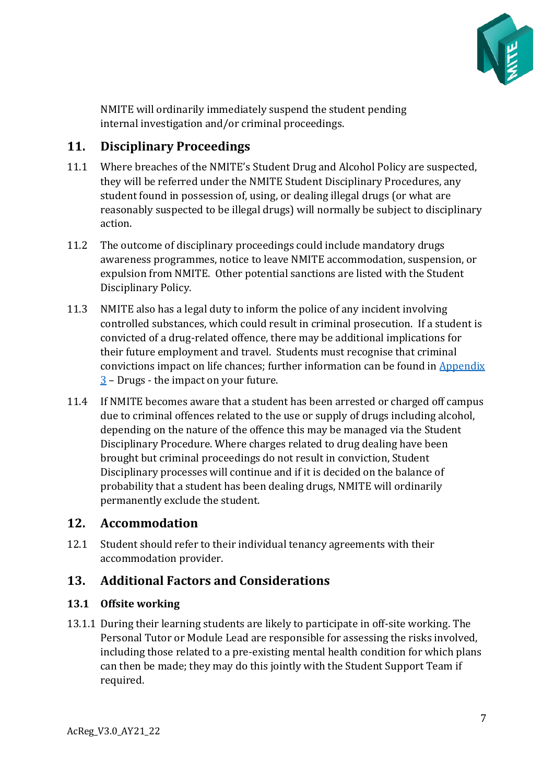

NMITE will ordinarily immediately suspend the student pending internal investigation and/or criminal proceedings.

# <span id="page-6-0"></span>**11. Disciplinary Proceedings**

- 11.1 Where breaches of the NMITE's Student Drug and Alcohol Policy are suspected, they will be referred under the NMITE Student Disciplinary Procedures, any student found in possession of, using, or dealing illegal drugs (or what are reasonably suspected to be illegal drugs) will normally be subject to disciplinary action.
- 11.2 The outcome of disciplinary proceedings could include mandatory drugs awareness programmes, notice to leave NMITE accommodation, suspension, or expulsion from NMITE. Other potential sanctions are listed with the Student Disciplinary Policy.
- 11.3 NMITE also has a legal duty to inform the police of any incident involving controlled substances, which could result in criminal prosecution. If a student is convicted of a drug-related offence, there may be additional implications for their future employment and travel. Students must recognise that criminal convictions impact on life chances; further information can be found in [Appendix](#page-10-0)  [3](#page-10-0) – Drugs - the impact on your future.
- 11.4 If NMITE becomes aware that a student has been arrested or charged off campus due to criminal offences related to the use or supply of drugs including alcohol, depending on the nature of the offence this may be managed via the Student Disciplinary Procedure. Where charges related to drug dealing have been brought but criminal proceedings do not result in conviction, Student Disciplinary processes will continue and if it is decided on the balance of probability that a student has been dealing drugs, NMITE will ordinarily permanently exclude the student.

# <span id="page-6-1"></span>**12. Accommodation**

<span id="page-6-2"></span>12.1 Student should refer to their individual tenancy agreements with their accommodation provider.

# **13. Additional Factors and Considerations**

### <span id="page-6-3"></span>**13.1 Offsite working**

13.1.1 During their learning students are likely to participate in off-site working. The Personal Tutor or Module Lead are responsible for assessing the risks involved, including those related to a pre-existing mental health condition for which plans can then be made; they may do this jointly with the Student Support Team if required.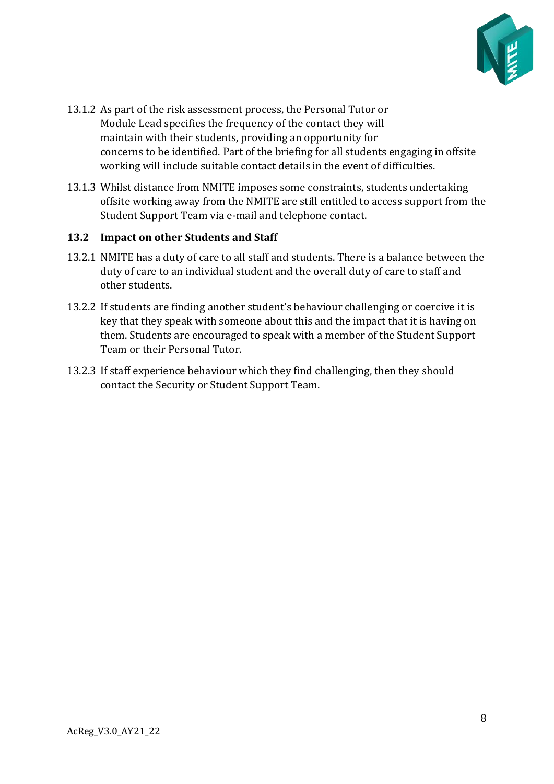

- 13.1.2 As part of the risk assessment process, the Personal Tutor or Module Lead specifies the frequency of the contact they will maintain with their students, providing an opportunity for concerns to be identified. Part of the briefing for all students engaging in offsite working will include suitable contact details in the event of difficulties.
- 13.1.3 Whilst distance from NMITE imposes some constraints, students undertaking offsite working away from the NMITE are still entitled to access support from the Student Support Team via e-mail and telephone contact.

#### <span id="page-7-0"></span>**13.2 Impact on other Students and Staff**

- 13.2.1 NMITE has a duty of care to all staff and students. There is a balance between the duty of care to an individual student and the overall duty of care to staff and other students.
- 13.2.2 If students are finding another student's behaviour challenging or coercive it is key that they speak with someone about this and the impact that it is having on them. Students are encouraged to speak with a member of the Student Support Team or their Personal Tutor.
- 13.2.3 If staff experience behaviour which they find challenging, then they should contact the Security or Student Support Team.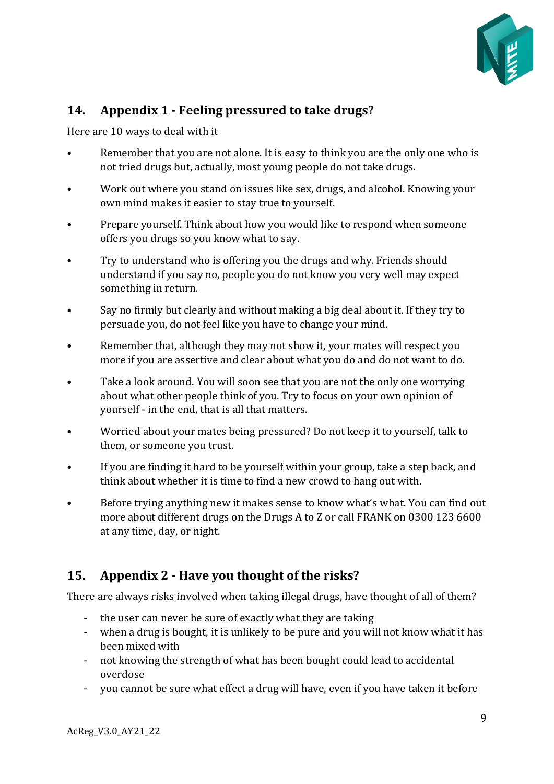

# <span id="page-8-0"></span>**14. Appendix 1 - Feeling pressured to take drugs?**

Here are 10 ways to deal with it

- Remember that you are not alone. It is easy to think you are the only one who is not tried drugs but, actually, most young people do not take drugs.
- Work out where you stand on issues like sex, drugs, and alcohol. Knowing your own mind makes it easier to stay true to yourself.
- Prepare yourself. Think about how you would like to respond when someone offers you drugs so you know what to say.
- Try to understand who is offering you the drugs and why. Friends should understand if you say no, people you do not know you very well may expect something in return.
- Say no firmly but clearly and without making a big deal about it. If they try to persuade you, do not feel like you have to change your mind.
- Remember that, although they may not show it, your mates will respect you more if you are assertive and clear about what you do and do not want to do.
- Take a look around. You will soon see that you are not the only one worrying about what other people think of you. Try to focus on your own opinion of yourself - in the end, that is all that matters.
- Worried about your mates being pressured? Do not keep it to yourself, talk to them, or someone you trust.
- If you are finding it hard to be yourself within your group, take a step back, and think about whether it is time to find a new crowd to hang out with.
- Before trying anything new it makes sense to know what's what. You can find out more about different drugs on the Drugs A to Z or call FRANK on 0300 123 6600 at any time, day, or night.

# <span id="page-8-1"></span>**15. Appendix 2 - Have you thought of the risks?**

There are always risks involved when taking illegal drugs, have thought of all of them?

- the user can never be sure of exactly what they are taking
- when a drug is bought, it is unlikely to be pure and you will not know what it has been mixed with
- not knowing the strength of what has been bought could lead to accidental overdose
- you cannot be sure what effect a drug will have, even if you have taken it before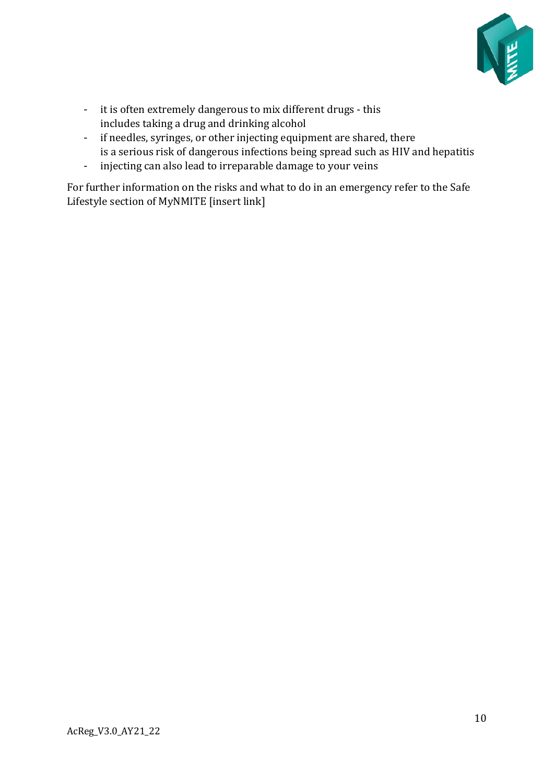

- it is often extremely dangerous to mix different drugs this includes taking a drug and drinking alcohol
- if needles, syringes, or other injecting equipment are shared, there is a serious risk of dangerous infections being spread such as HIV and hepatitis
- injecting can also lead to irreparable damage to your veins

For further information on the risks and what to do in an emergency refer to the Safe Lifestyle section of MyNMITE [insert link]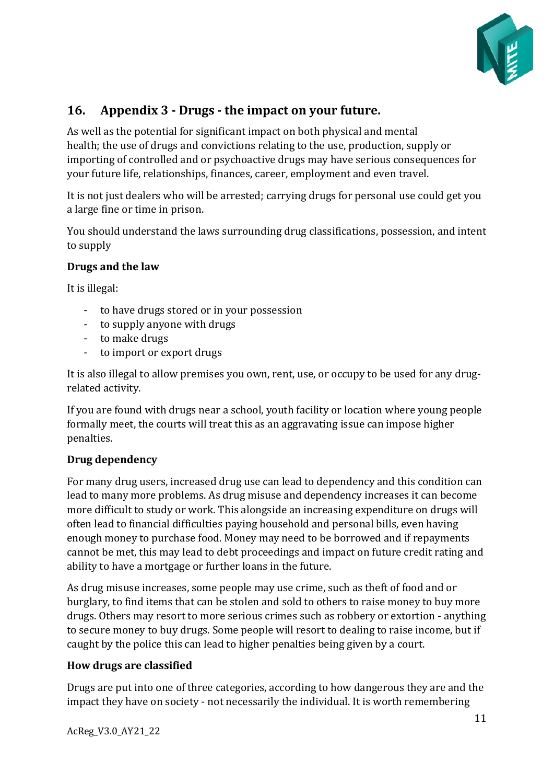

# <span id="page-10-0"></span>**16. Appendix 3 - Drugs - the impact on your future.**

As well as the potential for significant impact on both physical and mental health; the use of drugs and convictions relating to the use, production, supply or importing of controlled and or psychoactive drugs may have serious consequences for your future life, relationships, finances, career, employment and even travel.

It is not just dealers who will be arrested; carrying drugs for personal use could get you a large fine or time in prison.

You should understand the laws surrounding drug classifications, possession, and intent to supply

#### **Drugs and the law**

It is illegal:

- to have drugs stored or in your possession
- to supply anyone with drugs
- to make drugs
- to import or export drugs

It is also illegal to allow premises you own, rent, use, or occupy to be used for any drugrelated activity.

If you are found with drugs near a school, youth facility or location where young people formally meet, the courts will treat this as an aggravating issue can impose higher penalties.

### **Drug dependency**

For many drug users, increased drug use can lead to dependency and this condition can lead to many more problems. As drug misuse and dependency increases it can become more difficult to study or work. This alongside an increasing expenditure on drugs will often lead to financial difficulties paying household and personal bills, even having enough money to purchase food. Money may need to be borrowed and if repayments cannot be met, this may lead to debt proceedings and impact on future credit rating and ability to have a mortgage or further loans in the future.

As drug misuse increases, some people may use crime, such as theft of food and or burglary, to find items that can be stolen and sold to others to raise money to buy more drugs. Others may resort to more serious crimes such as robbery or extortion - anything to secure money to buy drugs. Some people will resort to dealing to raise income, but if caught by the police this can lead to higher penalties being given by a court.

### **How drugs are classified**

Drugs are put into one of three categories, according to how dangerous they are and the impact they have on society - not necessarily the individual. It is worth remembering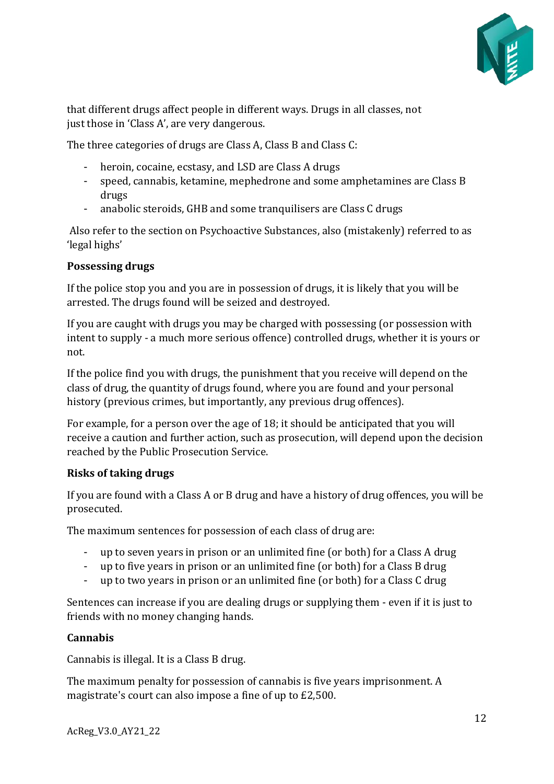

that different drugs affect people in different ways. Drugs in all classes, not just those in 'Class A', are very dangerous.

The three categories of drugs are Class A, Class B and Class C:

- heroin, cocaine, ecstasy, and LSD are Class A drugs
- speed, cannabis, ketamine, mephedrone and some amphetamines are Class B drugs
- anabolic steroids, GHB and some tranquilisers are Class C drugs

Also refer to the section on Psychoactive Substances, also (mistakenly) referred to as 'legal highs'

### **Possessing drugs**

If the police stop you and you are in possession of drugs, it is likely that you will be arrested. The drugs found will be seized and destroyed.

If you are caught with drugs you may be charged with possessing (or possession with intent to supply - a much more serious offence) controlled drugs, whether it is yours or not.

If the police find you with drugs, the punishment that you receive will depend on the class of drug, the quantity of drugs found, where you are found and your personal history (previous crimes, but importantly, any previous drug offences).

For example, for a person over the age of 18; it should be anticipated that you will receive a caution and further action, such as prosecution, will depend upon the decision reached by the Public Prosecution Service.

### **Risks of taking drugs**

If you are found with a Class A or B drug and have a history of drug offences, you will be prosecuted.

The maximum sentences for possession of each class of drug are:

- up to seven years in prison or an unlimited fine (or both) for a Class A drug
- up to five years in prison or an unlimited fine (or both) for a Class B drug
- up to two years in prison or an unlimited fine (or both) for a Class C drug

Sentences can increase if you are dealing drugs or supplying them - even if it is just to friends with no money changing hands.

### **Cannabis**

Cannabis is illegal. It is a Class B drug.

The maximum penalty for possession of cannabis is five years imprisonment. A magistrate's court can also impose a fine of up to £2,500.